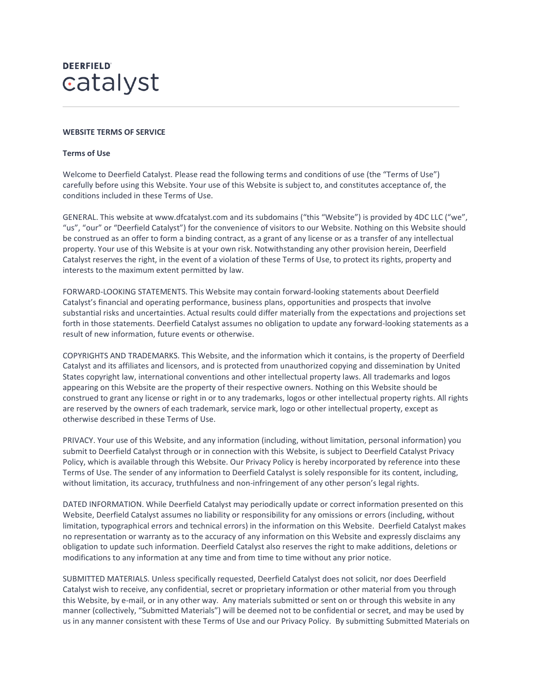## **DEERFIELD** catalyst

## **WEBSITE TERMS OF SERVICE**

## **Terms of Use**

Welcome to Deerfield Catalyst. Please read the following terms and conditions of use (the "Terms of Use") carefully before using this Website. Your use of this Website is subject to, and constitutes acceptance of, the conditions included in these Terms of Use.

GENERAL. This website at www.dfcatalyst.com and its subdomains ("this "Website") is provided by 4DC LLC ("we", "us", "our" or "Deerfield Catalyst") for the convenience of visitors to our Website. Nothing on this Website should be construed as an offer to form a binding contract, as a grant of any license or as a transfer of any intellectual property. Your use of this Website is at your own risk. Notwithstanding any other provision herein, Deerfield Catalyst reserves the right, in the event of a violation of these Terms of Use, to protect its rights, property and interests to the maximum extent permitted by law.

FORWARD-LOOKING STATEMENTS. This Website may contain forward-looking statements about Deerfield Catalyst's financial and operating performance, business plans, opportunities and prospects that involve substantial risks and uncertainties. Actual results could differ materially from the expectations and projections set forth in those statements. Deerfield Catalyst assumes no obligation to update any forward-looking statements as a result of new information, future events or otherwise.

COPYRIGHTS AND TRADEMARKS. This Website, and the information which it contains, is the property of Deerfield Catalyst and its affiliates and licensors, and is protected from unauthorized copying and dissemination by United States copyright law, international conventions and other intellectual property laws. All trademarks and logos appearing on this Website are the property of their respective owners. Nothing on this Website should be construed to grant any license or right in or to any trademarks, logos or other intellectual property rights. All rights are reserved by the owners of each trademark, service mark, logo or other intellectual property, except as otherwise described in these Terms of Use.

PRIVACY. Your use of this Website, and any information (including, without limitation, personal information) you submit to Deerfield Catalyst through or in connection with this Website, is subject to Deerfield Catalyst Privacy Policy, which is available through this Website. Our Privacy Policy is hereby incorporated by reference into these Terms of Use. The sender of any information to Deerfield Catalyst is solely responsible for its content, including, without limitation, its accuracy, truthfulness and non-infringement of any other person's legal rights.

DATED INFORMATION. While Deerfield Catalyst may periodically update or correct information presented on this Website, Deerfield Catalyst assumes no liability or responsibility for any omissions or errors (including, without limitation, typographical errors and technical errors) in the information on this Website. Deerfield Catalyst makes no representation or warranty as to the accuracy of any information on this Website and expressly disclaims any obligation to update such information. Deerfield Catalyst also reserves the right to make additions, deletions or modifications to any information at any time and from time to time without any prior notice.

SUBMITTED MATERIALS. Unless specifically requested, Deerfield Catalyst does not solicit, nor does Deerfield Catalyst wish to receive, any confidential, secret or proprietary information or other material from you through this Website, by e-mail, or in any other way. Any materials submitted or sent on or through this website in any manner (collectively, "Submitted Materials") will be deemed not to be confidential or secret, and may be used by us in any manner consistent with these Terms of Use and our Privacy Policy. By submitting Submitted Materials on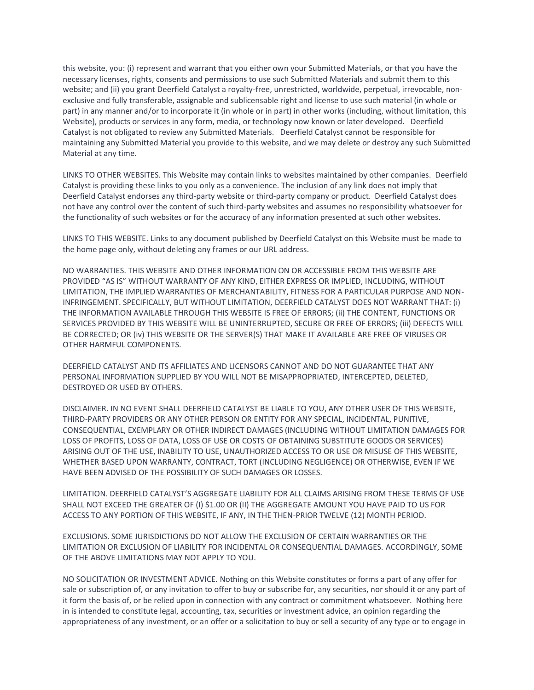this website, you: (i) represent and warrant that you either own your Submitted Materials, or that you have the necessary licenses, rights, consents and permissions to use such Submitted Materials and submit them to this website; and (ii) you grant Deerfield Catalyst a royalty-free, unrestricted, worldwide, perpetual, irrevocable, nonexclusive and fully transferable, assignable and sublicensable right and license to use such material (in whole or part) in any manner and/or to incorporate it (in whole or in part) in other works (including, without limitation, this Website), products or services in any form, media, or technology now known or later developed. Deerfield Catalyst is not obligated to review any Submitted Materials. Deerfield Catalyst cannot be responsible for maintaining any Submitted Material you provide to this website, and we may delete or destroy any such Submitted Material at any time.

LINKS TO OTHER WEBSITES. This Website may contain links to websites maintained by other companies. Deerfield Catalyst is providing these links to you only as a convenience. The inclusion of any link does not imply that Deerfield Catalyst endorses any third-party website or third-party company or product. Deerfield Catalyst does not have any control over the content of such third-party websites and assumes no responsibility whatsoever for the functionality of such websites or for the accuracy of any information presented at such other websites.

LINKS TO THIS WEBSITE. Links to any document published by Deerfield Catalyst on this Website must be made to the home page only, without deleting any frames or our URL address.

NO WARRANTIES. THIS WEBSITE AND OTHER INFORMATION ON OR ACCESSIBLE FROM THIS WEBSITE ARE PROVIDED "AS IS" WITHOUT WARRANTY OF ANY KIND, EITHER EXPRESS OR IMPLIED, INCLUDING, WITHOUT LIMITATION, THE IMPLIED WARRANTIES OF MERCHANTABILITY, FITNESS FOR A PARTICULAR PURPOSE AND NON-INFRINGEMENT. SPECIFICALLY, BUT WITHOUT LIMITATION, DEERFIELD CATALYST DOES NOT WARRANT THAT: (i) THE INFORMATION AVAILABLE THROUGH THIS WEBSITE IS FREE OF ERRORS; (ii) THE CONTENT, FUNCTIONS OR SERVICES PROVIDED BY THIS WEBSITE WILL BE UNINTERRUPTED, SECURE OR FREE OF ERRORS; (iii) DEFECTS WILL BE CORRECTED; OR (iv) THIS WEBSITE OR THE SERVER(S) THAT MAKE IT AVAILABLE ARE FREE OF VIRUSES OR OTHER HARMFUL COMPONENTS.

DEERFIELD CATALYST AND ITS AFFILIATES AND LICENSORS CANNOT AND DO NOT GUARANTEE THAT ANY PERSONAL INFORMATION SUPPLIED BY YOU WILL NOT BE MISAPPROPRIATED, INTERCEPTED, DELETED, DESTROYED OR USED BY OTHERS.

DISCLAIMER. IN NO EVENT SHALL DEERFIELD CATALYST BE LIABLE TO YOU, ANY OTHER USER OF THIS WEBSITE, THIRD-PARTY PROVIDERS OR ANY OTHER PERSON OR ENTITY FOR ANY SPECIAL, INCIDENTAL, PUNITIVE, CONSEQUENTIAL, EXEMPLARY OR OTHER INDIRECT DAMAGES (INCLUDING WITHOUT LIMITATION DAMAGES FOR LOSS OF PROFITS, LOSS OF DATA, LOSS OF USE OR COSTS OF OBTAINING SUBSTITUTE GOODS OR SERVICES) ARISING OUT OF THE USE, INABILITY TO USE, UNAUTHORIZED ACCESS TO OR USE OR MISUSE OF THIS WEBSITE, WHETHER BASED UPON WARRANTY, CONTRACT, TORT (INCLUDING NEGLIGENCE) OR OTHERWISE, EVEN IF WE HAVE BEEN ADVISED OF THE POSSIBILITY OF SUCH DAMAGES OR LOSSES.

LIMITATION. DEERFIELD CATALYST'S AGGREGATE LIABILITY FOR ALL CLAIMS ARISING FROM THESE TERMS OF USE SHALL NOT EXCEED THE GREATER OF (I) \$1.00 OR (II) THE AGGREGATE AMOUNT YOU HAVE PAID TO US FOR ACCESS TO ANY PORTION OF THIS WEBSITE, IF ANY, IN THE THEN-PRIOR TWELVE (12) MONTH PERIOD.

EXCLUSIONS. SOME JURISDICTIONS DO NOT ALLOW THE EXCLUSION OF CERTAIN WARRANTIES OR THE LIMITATION OR EXCLUSION OF LIABILITY FOR INCIDENTAL OR CONSEQUENTIAL DAMAGES. ACCORDINGLY, SOME OF THE ABOVE LIMITATIONS MAY NOT APPLY TO YOU.

NO SOLICITATION OR INVESTMENT ADVICE. Nothing on this Website constitutes or forms a part of any offer for sale or subscription of, or any invitation to offer to buy or subscribe for, any securities, nor should it or any part of it form the basis of, or be relied upon in connection with any contract or commitment whatsoever. Nothing here in is intended to constitute legal, accounting, tax, securities or investment advice, an opinion regarding the appropriateness of any investment, or an offer or a solicitation to buy or sell a security of any type or to engage in